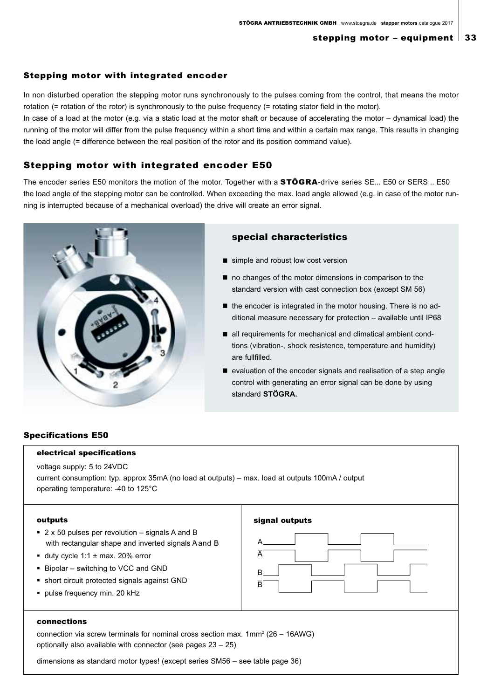### Stepping motor with integrated encoder

In non disturbed operation the stepping motor runs synchronously to the pulses coming from the control, that means the motor rotation (= rotation of the rotor) is synchronously to the pulse frequency (= rotating stator field in the motor).

In case of a load at the motor (e.g. via a static load at the motor shaft or because of accelerating the motor – dynamical load) the running of the motor will differ from the pulse frequency within a short time and within a certain max range. This results in changing the load angle (= difference between the real position of the rotor and its position command value).

# Stepping motor with integrated encoder E50

The encoder series E50 monitors the motion of the motor. Together with a STÖGRA-drive series SE... E50 or SERS .. E50 the load angle of the stepping motor can be controlled. When exceeding the max. load angle allowed (e.g. in case of the motor running is interrupted because of a mechanical overload) the drive will create an error signal.



# special characteristics

- simple and robust low cost version
- no changes of the motor dimensions in comparison to the standard version with cast connection box (except SM 56)
- the encoder is integrated in the motor housing. There is no additional measure necessary for protection – available until IP68
- all requirements for mechanical and climatical ambient condtions (vibration-, shock resistence, temperature and humidity) are fullfilled.
- $\blacksquare$  evaluation of the encoder signals and realisation of a step angle control with generating an error signal can be done by using standard **STÖGRA.**

# Specifications E50

#### electrical specifications

voltage supply: 5 to 24VDC

current consumption: typ. approx 35mA (no load at outputs) – max. load at outputs 100mA / output operating temperature: -40 to 125°C

#### outputs

- 2 x 50 pulses per revolution signals A and B with rectangular shape and inverted signals A and B
- duty cycle 1:1 ± max. 20% error
- Bipolar switching to VCC and GND
- short circuit protected signals against GND
- · pulse frequency min. 20 kHz

| signal outputs   |
|------------------|
| А<br>A<br>В<br>Ē |
|                  |

## connections

connection via screw terminals for nominal cross section max.  $1mm^2$  (26 – 16AWG) optionally also available with connector (see pages 23 – 25)

dimensions as standard motor types! (except series SM56 – see table page 36)